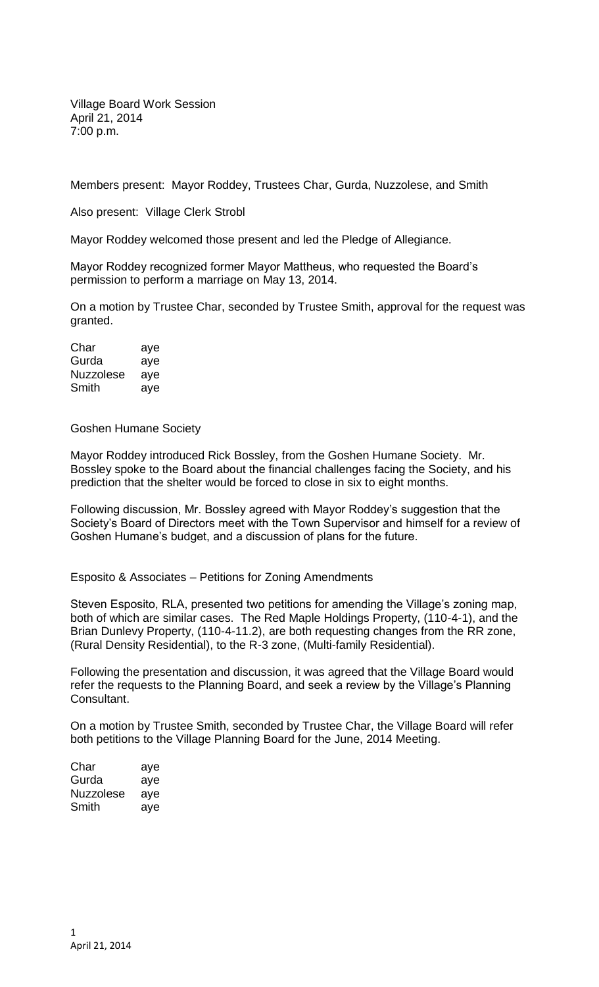Village Board Work Session April 21, 2014 7:00 p.m.

Members present: Mayor Roddey, Trustees Char, Gurda, Nuzzolese, and Smith

Also present: Village Clerk Strobl

Mayor Roddey welcomed those present and led the Pledge of Allegiance.

Mayor Roddey recognized former Mayor Mattheus, who requested the Board's permission to perform a marriage on May 13, 2014.

On a motion by Trustee Char, seconded by Trustee Smith, approval for the request was granted.

| Char      | aye |
|-----------|-----|
| Gurda     | aye |
| Nuzzolese | ave |
| Smith     | aye |

Goshen Humane Society

Mayor Roddey introduced Rick Bossley, from the Goshen Humane Society. Mr. Bossley spoke to the Board about the financial challenges facing the Society, and his prediction that the shelter would be forced to close in six to eight months.

Following discussion, Mr. Bossley agreed with Mayor Roddey's suggestion that the Society's Board of Directors meet with the Town Supervisor and himself for a review of Goshen Humane's budget, and a discussion of plans for the future.

Esposito & Associates – Petitions for Zoning Amendments

Steven Esposito, RLA, presented two petitions for amending the Village's zoning map, both of which are similar cases. The Red Maple Holdings Property, (110-4-1), and the Brian Dunlevy Property, (110-4-11.2), are both requesting changes from the RR zone, (Rural Density Residential), to the R-3 zone, (Multi-family Residential).

Following the presentation and discussion, it was agreed that the Village Board would refer the requests to the Planning Board, and seek a review by the Village's Planning Consultant.

On a motion by Trustee Smith, seconded by Trustee Char, the Village Board will refer both petitions to the Village Planning Board for the June, 2014 Meeting.

| Char      | aye |
|-----------|-----|
| Gurda     | aye |
| Nuzzolese | ave |
| Smith     | aye |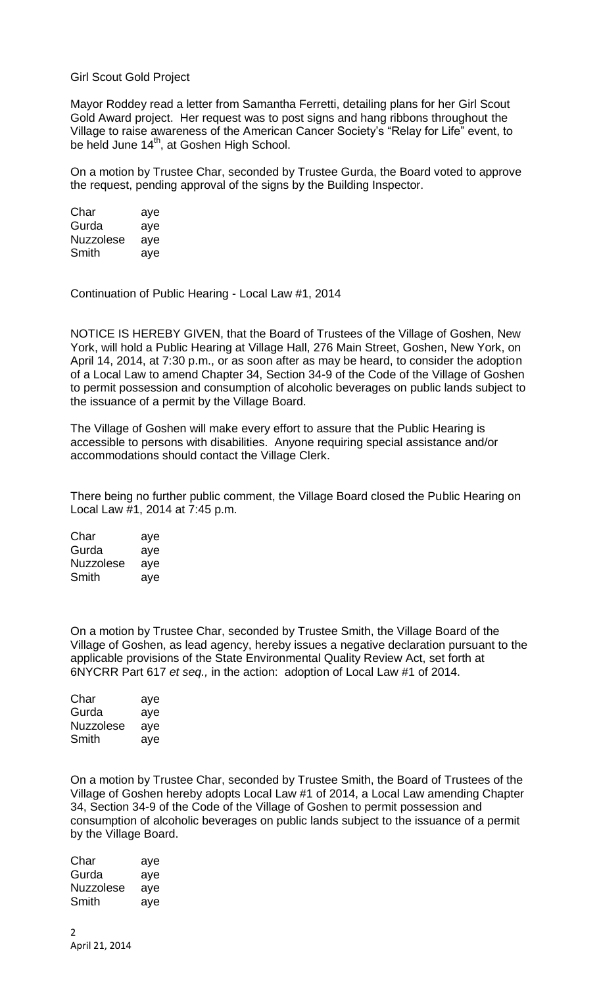## Girl Scout Gold Project

Mayor Roddey read a letter from Samantha Ferretti, detailing plans for her Girl Scout Gold Award project. Her request was to post signs and hang ribbons throughout the Village to raise awareness of the American Cancer Society's "Relay for Life" event, to be held June 14<sup>th</sup>, at Goshen High School.

On a motion by Trustee Char, seconded by Trustee Gurda, the Board voted to approve the request, pending approval of the signs by the Building Inspector.

| Char             | aye |
|------------------|-----|
| Gurda            | aye |
| <b>Nuzzolese</b> | aye |
| Smith            | aye |

Continuation of Public Hearing - Local Law #1, 2014

NOTICE IS HEREBY GIVEN, that the Board of Trustees of the Village of Goshen, New York, will hold a Public Hearing at Village Hall, 276 Main Street, Goshen, New York, on April 14, 2014, at 7:30 p.m., or as soon after as may be heard, to consider the adoption of a Local Law to amend Chapter 34, Section 34-9 of the Code of the Village of Goshen to permit possession and consumption of alcoholic beverages on public lands subject to the issuance of a permit by the Village Board.

The Village of Goshen will make every effort to assure that the Public Hearing is accessible to persons with disabilities. Anyone requiring special assistance and/or accommodations should contact the Village Clerk.

There being no further public comment, the Village Board closed the Public Hearing on Local Law #1, 2014 at 7:45 p.m.

| Char      | aye |
|-----------|-----|
| Gurda     | aye |
| Nuzzolese | aye |
| Smith     | aye |

On a motion by Trustee Char, seconded by Trustee Smith, the Village Board of the Village of Goshen, as lead agency, hereby issues a negative declaration pursuant to the applicable provisions of the State Environmental Quality Review Act, set forth at 6NYCRR Part 617 *et seq.,* in the action: adoption of Local Law #1 of 2014.

| Char      | aye |
|-----------|-----|
| Gurda     | aye |
| Nuzzolese | ave |
| Smith     | aye |

On a motion by Trustee Char, seconded by Trustee Smith, the Board of Trustees of the Village of Goshen hereby adopts Local Law #1 of 2014, a Local Law amending Chapter 34, Section 34-9 of the Code of the Village of Goshen to permit possession and consumption of alcoholic beverages on public lands subject to the issuance of a permit by the Village Board.

| Char             | aye |
|------------------|-----|
| Gurda            | aye |
| <b>Nuzzolese</b> | aye |
| Smith            | aye |